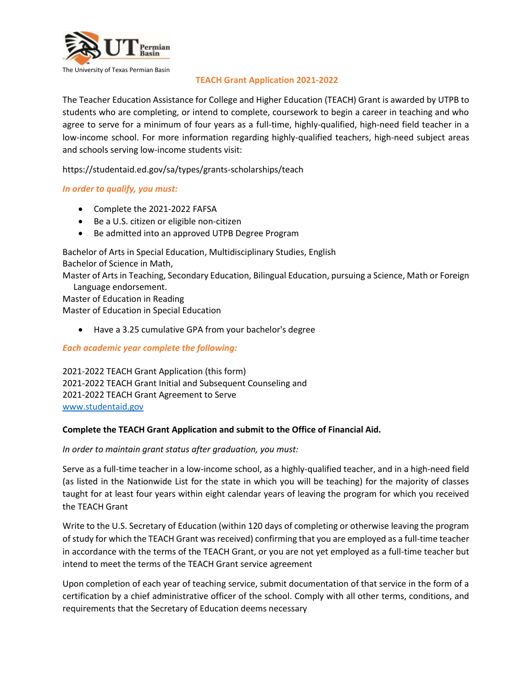

### **TEACH Grant Application 2021-2022**

The Teacher Education Assistance for College and Higher Education (TEACH) Grant is awarded by UTPB to students who are completing, or intend to complete, coursework to begin a career in teaching and who agree to serve for a minimum of four years as a full-time, highly-qualified, high-need field teacher in a low-income school. For more information regarding highly-qualified teachers, high-need subject areas and schools serving low-income students visit:

https://studentaid.ed.gov/sa/types/grants-scholarships/teach

### *In order to qualify, you must:*

- Complete the 2021-2022 FAFSA
- Be a U.S. citizen or eligible non-citizen
- Be admitted into an approved UTPB Degree Program

Bachelor of Arts in Special Education, Multidisciplinary Studies, English Bachelor of Science in Math,

Master of Arts in Teaching, Secondary Education, Bilingual Education, pursuing a Science, Math or Foreign Language endorsement.

Master of Education in Reading Master of Education in Special Education

Have a 3.25 cumulative GPA from your bachelor's degree

*Each academic year complete the following:*

2021-2022 TEACH Grant Application (this form) 2021-2022 TEACH Grant Initial and Subsequent Counseling and 2021-2022 TEACH Grant Agreement to Serve [www.studentaid.gov](http://www.studentaid.gov/)

#### **Complete the TEACH Grant Application and submit to the Office of Financial Aid.**

*In order to maintain grant status after graduation, you must:*

Serve as a full-time teacher in a low-income school, as a highly-qualified teacher, and in a high-need field (as listed in the Nationwide List for the state in which you will be teaching) for the majority of classes taught for at least four years within eight calendar years of leaving the program for which you received the TEACH Grant

Write to the U.S. Secretary of Education (within 120 days of completing or otherwise leaving the program of study for which the TEACH Grant was received) confirming that you are employed as a full-time teacher in accordance with the terms of the TEACH Grant, or you are not yet employed as a full-time teacher but intend to meet the terms of the TEACH Grant service agreement

Upon completion of each year of teaching service, submit documentation of that service in the form of a certification by a chief administrative officer of the school. Comply with all other terms, conditions, and requirements that the Secretary of Education deems necessary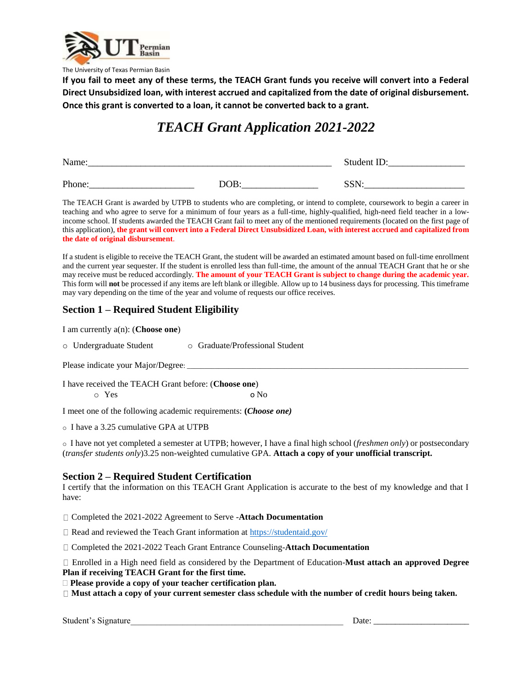

The University of Texas Permian Basin

**If you fail to meet any of these terms, the TEACH Grant funds you receive will convert into a Federal Direct Unsubsidized loan, with interest accrued and capitalized from the date of original disbursement. Once this grant is converted to a loan, it cannot be converted back to a grant.**

# *TEACH Grant Application 2021-2022*

| Name:  |                  | Student ID:        |
|--------|------------------|--------------------|
| Phone: | DOB <sub>i</sub> | <b>CCNI</b><br>נטט |

The TEACH Grant is awarded by UTPB to students who are completing, or intend to complete, coursework to begin a career in teaching and who agree to serve for a minimum of four years as a full-time, highly-qualified, high-need field teacher in a lowincome school. If students awarded the TEACH Grant fail to meet any of the mentioned requirements (located on the first page of this application), **the grant will convert into a Federal Direct Unsubsidized Loan, with interest accrued and capitalized from the date of original disbursement**.

If a student is eligible to receive the TEACH Grant, the student will be awarded an estimated amount based on full-time enrollment and the current year sequester. If the student is enrolled less than full-time, the amount of the annual TEACH Grant that he or she may receive must be reduced accordingly. **The amount of your TEACH Grant is subject to change during the academic year.** This form will **not** be processed if any items are left blank or illegible. Allow up to 14 business days for processing. This timeframe may vary depending on the time of the year and volume of requests our office receives.

# **Section 1 – Required Student Eligibility**

I am currently a(n): (**Choose one**)

o Undergraduate Student o Graduate/Professional Student

Please indicate your Major/Degree:

I have received the TEACH Grant before: (**Choose one**) o Yes o No

I meet one of the following academic requirements: **(***Choose one)*

o I have a 3.25 cumulative GPA at UTPB

o I have not yet completed a semester at UTPB; however, I have a final high school (*freshmen only*) or postsecondary (*transfer students only*)3.25 non-weighted cumulative GPA. **Attach a copy of your unofficial transcript.**

#### **Section 2 – Required Student Certification**

I certify that the information on this TEACH Grant Application is accurate to the best of my knowledge and that I have:

Completed the 2021-2022 Agreement to Serve -**Attach Documentation**

 $\Box$  Read and reviewed the Teach Grant information at<https://studentaid.gov/>

Completed the 2021-2022 Teach Grant Entrance Counseling-**Attach Documentation**

Enrolled in a High need field as considered by the Department of Education-**Must attach an approved Degree Plan if receiving TEACH Grant for the first time.** 

**Please provide a copy of your teacher certification plan.**

**Must attach a copy of your current semester class schedule with the number of credit hours being taken.**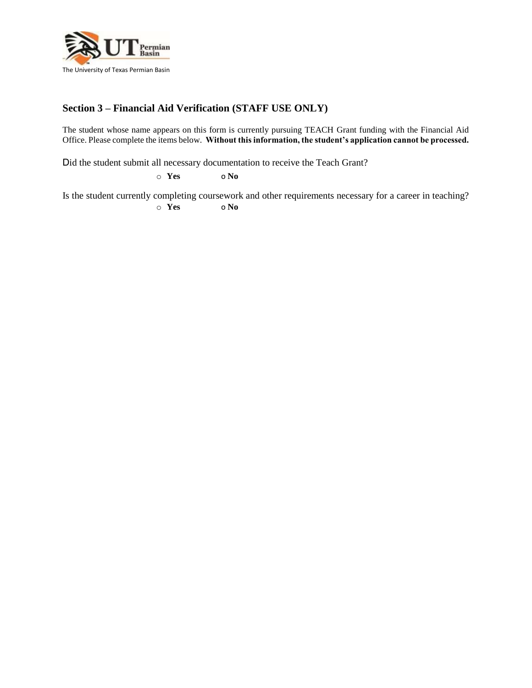

# **Section 3 – Financial Aid Verification (STAFF USE ONLY)**

The student whose name appears on this form is currently pursuing TEACH Grant funding with the Financial Aid Office. Please complete the items below. **Without this information, the student's application cannot be processed.**

Did the student submit all necessary documentation to receive the Teach Grant?

o **Yes** o **No**

Is the student currently completing coursework and other requirements necessary for a career in teaching? o **Yes** o **No**